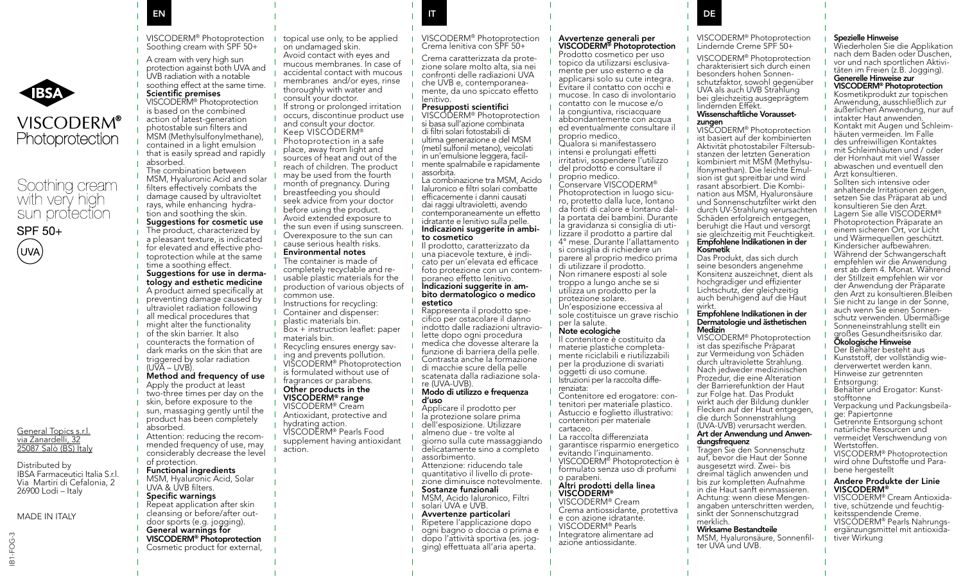

# **VISCODERM®** Photoprotection

# Soothing cream with very high sun protection



IB1-FOG-3

**IB1-FOG-**

General Topics s.r.l. via Zanardelli, 32 25087 Salò (BS) Italy Distributed by IBSA Farmaceutici Italia S.r.l. Via Martiri di Cefalonia, 2 26900 Lodi – Italy MADE IN ITALY



- A cream with very high sun protection against both UVA and UVB radiation with a notable
- soothing effect at the same time.

## Scientific premises

VISCODERM® Photoprotection is based on the combined action of latest-generation photostable sun filters and MSM (Methylsulfonylmethane), contained in a light emulsion that is easily spread and rapidly absorbed. The combination between

MSM, Hyaluronic Acid and solar filters effectively combats the damage caused by ultravioltet rays, while enhancing hydra-

### tion and soothing the skin. Suggestions for cosmetic use The product, characterized by

a pleasant texture, is indicated for elevated and effective photoprotection while at the same time a soothing effect. Suggestions for use in derma-

tology and esthetic medicine A product aimed specifically at preventing damage caused by ultraviolet radiation following

- all medical procedures that
- might alter the functionality
- of the skin barrier. It also counteracts the formation of
- dark marks on the skin that are
- triggered by solar radiation
	- (UVA UVB).
- Method and frequency of use
- Apply the product at least
- two-three times per day on the skin, before exposure to the
- sun, massaging gently until the
- product has been completely absorbed.
	- Attention: reducing the recommended frequency of use, may considerably decrease the level

#### of protection. Functional ingredients

MSM, Hyaluronic Acid, Solar UVA & UVB filters.

## Specific warnings

- cleansing or before/after outdoor sports (e.g. jogging).
- General warnings for
- 
- 

topical use only, to be applied on undamaged skin. Avoid contact with eyes and mucous membranes. In case of accidental contact with mucous membranes and/or eyes, rinse thoroughly with water and consult your doctor. If strong or prolonged irritation occurs, discontinue product use and consult your doctor. Keep VISCODERM® Photoprotection in a safe place, away from light and sources of heat and out of the reach of children. The product may be used from the fourth month of pregnancy. During breastfeeding you should seek advice from your doctor before using the product. Avoid extended exposure to the sun even if using sunscreen. Overexposure to the sun can cause serious health risks. Environmental notes

The container is made of<br>completely recyclable and reusable plastic materials for the production of various objects of common use. Instructions for recycling:

Container and dispenser: plastic materials bin. Box + instruction leaflet: paper materials bin. Recycling ensures energy saving and prevents pollution. VISCODERM® Photoprotection is formulated without use of fragrances or parabens. Other products in the

## VISCODERM® range

- VISCODERM® Cream Antioxidant, protective and hydrating action. VISCODERM® Pearls Food supplement having antioxidant
- action.
- 
- 
- Repeat application after skin
- 
- VISCODERM® Photoprotection
- Cosmetic product for external,

VISCODERM® Photoprotection Crema lenitiva con SPF 50+

Crema caratterizzata da prote- zione solare molto alta, sia nei confronti delle radiazioni UVA<br>che UVB e contemporaneamente, da uno spiccato effetto lenitivo.

# **Presupposti scientifici<br>VISCODERM® Photoprotection**

EN IT DE LA BORDONNE DE LA BORDONNE DE LA BORDONNE DE LA BORDONNE DE LA BORDONNE DE LA BORDONNE DE LA BORDONNE

si basa sull'azione combinata di filtri solari fotostabili di ultima generazione e del MSM (metil sulfonil metano), veicolati mente spalmabile e rapidamente assorbita. La combinazione tra MSM, Acido Ialuronico e filtri solari combatte efficacemente i danni causati

dai raggi ultravioletti, avendo contemporaneamente un effetto idratante e lenitivo sulla pelle. Indicazioni suggerite in ambi- to cosmetico

Il prodotto, caratterizzato da<br>una piacevole texture, è indicato per un'elevata ed efficace foto protezione con un contem-<br>poraneo effetto lenitivo.<br>**Indicazioni suggerite in am-**

# bito dermatologico o medico estetico<br>Rappresenta il prodotto spe-

cifico per ostacolare il danno indotto dalle radiazioni ultravio- lette dopo ogni procedura medica che dovesse alterare la funzione di barriera della pelle. Contrasta anche la formazione di macchie scure della pelle scatenata dalla radiazione sola-<br>re (UVA-UVB).

#### Modo di utilizzo e frequenza d'uso

Applicare il prodotto per la protezione solare prima dell'esposizione. Utilizzare almeno due - tre volte al giorno sulla cute massaggiando delicatamente sino a completo assorbimento. Attenzione: riducendo tale quantitativo il livello di prote- zione diminuisce notevolmente.

#### Sostanze funzionali

MSM, Acido Ialuronico, Filtri solari UVA e UVB.

### Avvertenze particolari Ripetere l'applicazione dopo ogni bagno o doccia o prima e

dopo l'attività sportiva (es. jog- ging) effettuata all'aria aperta.

# Avvertenze generali per

Prodotto cosmetico per uso<br>topico da utilizzarsi esclusivamente per uso esterno e da applicarsi solo su cute integra. Evitare il contatto con occhi e mucose. In caso di involontario contatto con le mucose e/o la congiuntiva, risciacquare abbondantemente con acqua ed eventualmente consultare il proprio medico. Qualora si manifestassero intensi e prolungati effetti irritativi, sospendere l'utilizzo del prodotto e consultare il proprio medico. Conservare VISCODERM®<br>Photoprotection in luogo sicuro, protetto dalla luce, lontano<br>da fonti di calore e lontano dalla portata dei bambini. Durante la gravidanza si consiglia di uti- lizzare il prodotto a partire dal 4° mese. Durante l'allattamento si consiglia di richiedere un parere al proprio medico prima di utilizzare il prodotto. Non rimanere esposti al sole troppo a lungo anche se si utilizza un prodotto per la protezione solare.

Un'esposizione eccessiva al sole costituisce un grave rischio per la salute.

#### Note ecologiche

Il contenitore è costituito da materie plastiche completa- mente riciclabili e riutilizzabili per la produzione di svariati oggetti di uso comune. Istruzioni per la raccolta diffe-<br>renziata:<br>Contenitore ed erogatore: con-

- tenitori per materiale plastico.
- Astuccio e foglietto illustrativo: contenitori per materiale
- cartaceo. La raccolta differenziata
- garantisce risparmio energetico evitando l'inquinamento.<br>VISCODERM® Photoprotection è
- formulato senza uso di profumi o parabeni.

## Altri prodotti della linea VISCODERM<sup>®</sup><br>VISCODERM® Cream

Crema antiossidante, protettiva e con azione idratante. VISCODERM® Pearls Integratore alimentare ad azione antiossidante.

# VISCODERM® Photoprotection Lindernde Creme SPF 50+

VISCODERM® Photoprotection charakterisiert sich durch einen besonders hohen Sonnen- schutzfaktor, sowohl gegenüber UVA als auch UVB Strahlung bei gleichzeitig ausgeprägtem lindernden Effekt

# Wissenschaftliche Vorausset-<br>
zungen<br>
VISCODERM® Photoprotection

ist basiert auf der kombinierten<br>Aktivität photostabiler Filtersubstanzen der letzten Generation<br>kombiniert mit MSM (Methvlsulfonymethan). Die leichte Emul-<br>sion ist gut spreitbar und wird<br>rasant absorbiert. Die Kombination aus MSM, Hyaluronsäure. und Sonnenschutzfilter wirkt den durch UV-Strahlung verursachten Schäden erfolgreich entgegen, beruhigt die Haut und versorgt sie gleichzeitig mit Feuchtigkeit. Empfohlene Indikationen in der Kosmetik

Das Produkt, das sich durch seine besonders angenehme Konsitenz auszeichnet, dient als hochgradiger und effizienter Lichtschutz, der gleichzeitig auch beruhigend auf die Haut wirkt.

## Empfohlene Indikationen in der Dermatologie und ästhetischen

Medizin<br>VISCODERM® Photoprotection ist das spezifische Präparat zur Vermeidung von Schäden durch ultraviolette Strahlung. Nach jedweder medizinischen Prozedur, die eine Alteration der Barrierefunktion der Haut zur Folge hat. Das Produkt wirkt auch der Bildung dunkler Flecken auf der Haut entgegen, die durch Sonnenstrahlung

(UVA-UVB) verursacht werden. Art der Anwendung und Anwen-<br>dungsfrequenz

## Tragen Sie den Sonnenschutz

auf, bevor die Haut der Sonne ausgesetzt wird. Zwei- bis dreimal täglich anwenden und bis zur kompletten Aufnahme in die Haut sanft einmassieren.<br>Achtung: wenn diese Mengenangaben unterschritten werden, sinkt der Sonnenschutzgrad

#### merklich. Wirksame Bestandteile

MSM, Hyaluronsäure, Sonnenfil- ter UVA und UVB.

## Spezielle Hinweise

Wiederholen Sie die Applikation nach dem Baden oder Duschen,<br>vor und nach sportlichen Aktivitäten im Freien (z.B. Jogging).

# Generelle Hinweise zur

Kosmetikprodukt zur topischen Anwendung, ausschließlich zur äußerlichen Anwendung, nur auf intakter Haut anwenden.<br>Kontakt mit Augen und Schleimhäuten vermeiden. Im Falle des unfreiwilligen Kontaktes mit Schleimhäuten und / oder der Hornhaut mit viel Wasser abwaschen und eventuell den

Arzt konsultieren. Sollten sich intensive oder anhaltende Irritationen zeigen setzen Sie das Präparat ab und konsultieren Sie den Arzt. Lagern Sie alle VISCODERM® Photoprotection Präparate an einem sicheren Ort, vor Licht und Wärmequellen geschützt. Kindersicher aufbewahren. Während der Schwangerschaft empfehlen wir die Anwendung erst ab dem 4. Monat. Während der Stillzeit empfehlen wir vor der Anwendung der Präparate

den Arzt zu konsultieren.Bleiben Sie nicht zu lange in der Sonne,<br>auch wenn Sie einen Sonnenschutz verwenden. Übermäßige Sonneneinstrahlung stellt ein großes Gesundheitsrisiko dar.

## Ökologische Hinweise

Der Behälter besteht aus Kunststoff, der vollständig wie- derverwertet werden kann. Hinweise zur getrennten

- Entsorgung:
- Behälter und Erogator: Kunst- stofftonne
- Verpackung und Packungsbeila- ge: Papiertonne
- Getrennte Entsorgung schont natürliche Resourcen und vermeidet Verschwendung von
- Wertstoffen.<br>VISCODERM® Photoprotection
- wird ohne Duftstoffe und Para-<br>bene hergestellt

## Andere Produkte der Linie **VISCODERM®**<br>VISCODERM® Cream Antioxida-

tive, schützende und feuchtig-<br>keitsspendende Creme.<br>VISCODERM® Pearls Nahrungsergänzungsmittel mit antioxida-<br>tiver Wirkung